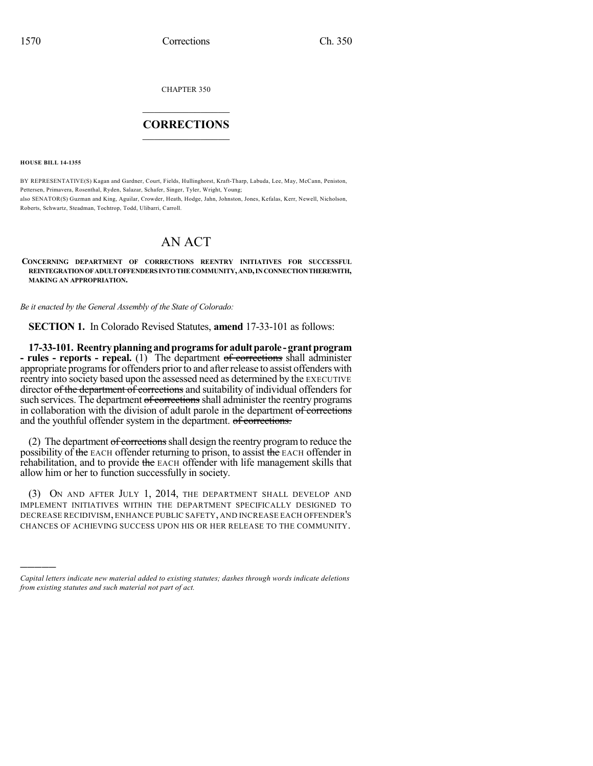CHAPTER 350

## $\mathcal{L}_\text{max}$  . The set of the set of the set of the set of the set of the set of the set of the set of the set of the set of the set of the set of the set of the set of the set of the set of the set of the set of the set **CORRECTIONS**  $\frac{1}{2}$  ,  $\frac{1}{2}$  ,  $\frac{1}{2}$  ,  $\frac{1}{2}$  ,  $\frac{1}{2}$  ,  $\frac{1}{2}$

**HOUSE BILL 14-1355**

)))))

BY REPRESENTATIVE(S) Kagan and Gardner, Court, Fields, Hullinghorst, Kraft-Tharp, Labuda, Lee, May, McCann, Peniston, Pettersen, Primavera, Rosenthal, Ryden, Salazar, Schafer, Singer, Tyler, Wright, Young; also SENATOR(S) Guzman and King, Aguilar, Crowder, Heath, Hodge, Jahn, Johnston, Jones, Kefalas, Kerr, Newell, Nicholson, Roberts, Schwartz, Steadman, Tochtrop, Todd, Ulibarri, Carroll.

# AN ACT

### **CONCERNING DEPARTMENT OF CORRECTIONS REENTRY INITIATIVES FOR SUCCESSFUL REINTEGRATIONOFADULTOFFENDERSINTOTHECOMMUNITY,AND,INCONNECTIONTHEREWITH, MAKING AN APPROPRIATION.**

*Be it enacted by the General Assembly of the State of Colorado:*

**SECTION 1.** In Colorado Revised Statutes, **amend** 17-33-101 as follows:

**17-33-101. Reentryplanningandprogramsforadultparole -grantprogram - rules - reports - repeal.** (1) The department of corrections shall administer appropriate programs for offenders prior to and after release to assist offenders with reentry into society based upon the assessed need as determined by the EXECUTIVE director of the department of corrections and suitability of individual offenders for such services. The department of corrections shall administer the reentry programs in collaboration with the division of adult parole in the department of corrections and the youthful offender system in the department. of corrections.

(2) The department of corrections shall design the reentry program to reduce the possibility of the EACH offender returning to prison, to assist the EACH offender in rehabilitation, and to provide the EACH offender with life management skills that allow him or her to function successfully in society.

(3) ON AND AFTER JULY 1, 2014, THE DEPARTMENT SHALL DEVELOP AND IMPLEMENT INITIATIVES WITHIN THE DEPARTMENT SPECIFICALLY DESIGNED TO DECREASE RECIDIVISM, ENHANCE PUBLIC SAFETY, AND INCREASE EACH OFFENDER'S CHANCES OF ACHIEVING SUCCESS UPON HIS OR HER RELEASE TO THE COMMUNITY.

*Capital letters indicate new material added to existing statutes; dashes through words indicate deletions from existing statutes and such material not part of act.*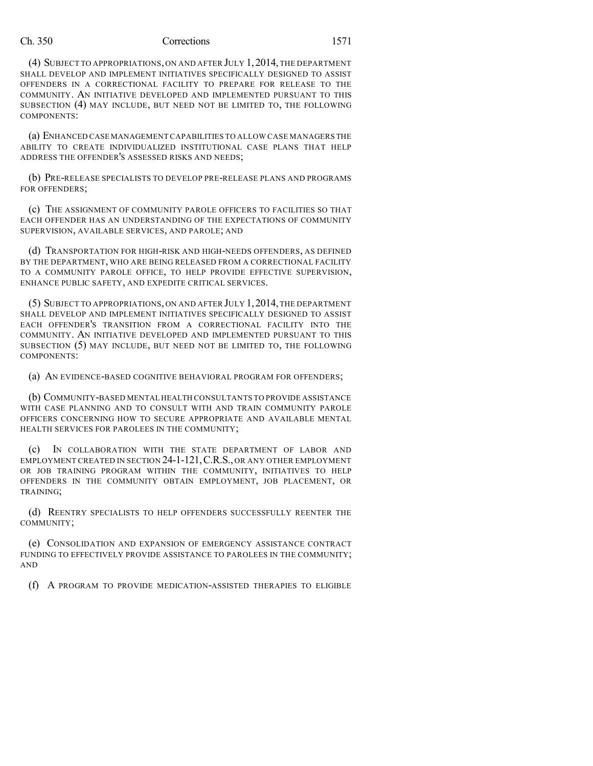#### Ch. 350 Corrections 1571

(4) SUBJECT TO APPROPRIATIONS, ON AND AFTER JULY 1,2014, THE DEPARTMENT SHALL DEVELOP AND IMPLEMENT INITIATIVES SPECIFICALLY DESIGNED TO ASSIST OFFENDERS IN A CORRECTIONAL FACILITY TO PREPARE FOR RELEASE TO THE COMMUNITY. AN INITIATIVE DEVELOPED AND IMPLEMENTED PURSUANT TO THIS SUBSECTION (4) MAY INCLUDE, BUT NEED NOT BE LIMITED TO, THE FOLLOWING COMPONENTS:

(a) ENHANCED CASE MANAGEMENT CAPABILITIES TO ALLOW CASE MANAGERS THE ABILITY TO CREATE INDIVIDUALIZED INSTITUTIONAL CASE PLANS THAT HELP ADDRESS THE OFFENDER'S ASSESSED RISKS AND NEEDS;

(b) PRE-RELEASE SPECIALISTS TO DEVELOP PRE-RELEASE PLANS AND PROGRAMS FOR OFFENDERS;

(c) THE ASSIGNMENT OF COMMUNITY PAROLE OFFICERS TO FACILITIES SO THAT EACH OFFENDER HAS AN UNDERSTANDING OF THE EXPECTATIONS OF COMMUNITY SUPERVISION, AVAILABLE SERVICES, AND PAROLE; AND

(d) TRANSPORTATION FOR HIGH-RISK AND HIGH-NEEDS OFFENDERS, AS DEFINED BY THE DEPARTMENT, WHO ARE BEING RELEASED FROM A CORRECTIONAL FACILITY TO A COMMUNITY PAROLE OFFICE, TO HELP PROVIDE EFFECTIVE SUPERVISION, ENHANCE PUBLIC SAFETY, AND EXPEDITE CRITICAL SERVICES.

(5) SUBJECT TO APPROPRIATIONS, ON AND AFTER JULY 1,2014,THE DEPARTMENT SHALL DEVELOP AND IMPLEMENT INITIATIVES SPECIFICALLY DESIGNED TO ASSIST EACH OFFENDER'S TRANSITION FROM A CORRECTIONAL FACILITY INTO THE COMMUNITY. AN INITIATIVE DEVELOPED AND IMPLEMENTED PURSUANT TO THIS SUBSECTION (5) MAY INCLUDE, BUT NEED NOT BE LIMITED TO, THE FOLLOWING COMPONENTS:

(a) AN EVIDENCE-BASED COGNITIVE BEHAVIORAL PROGRAM FOR OFFENDERS;

(b) COMMUNITY-BASED MENTAL HEALTH CONSULTANTS TO PROVIDE ASSISTANCE WITH CASE PLANNING AND TO CONSULT WITH AND TRAIN COMMUNITY PAROLE OFFICERS CONCERNING HOW TO SECURE APPROPRIATE AND AVAILABLE MENTAL HEALTH SERVICES FOR PAROLEES IN THE COMMUNITY;

(c) IN COLLABORATION WITH THE STATE DEPARTMENT OF LABOR AND EMPLOYMENT CREATED IN SECTION 24-1-121,C.R.S., OR ANY OTHER EMPLOYMENT OR JOB TRAINING PROGRAM WITHIN THE COMMUNITY, INITIATIVES TO HELP OFFENDERS IN THE COMMUNITY OBTAIN EMPLOYMENT, JOB PLACEMENT, OR TRAINING;

(d) REENTRY SPECIALISTS TO HELP OFFENDERS SUCCESSFULLY REENTER THE COMMUNITY;

(e) CONSOLIDATION AND EXPANSION OF EMERGENCY ASSISTANCE CONTRACT FUNDING TO EFFECTIVELY PROVIDE ASSISTANCE TO PAROLEES IN THE COMMUNITY; AND

(f) A PROGRAM TO PROVIDE MEDICATION-ASSISTED THERAPIES TO ELIGIBLE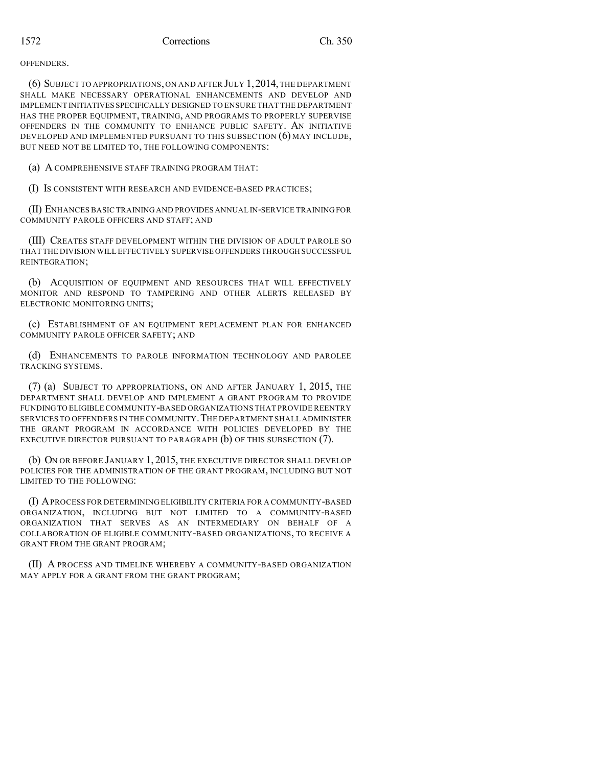OFFENDERS.

(6) SUBJECT TO APPROPRIATIONS, ON AND AFTER JULY 1,2014, THE DEPARTMENT SHALL MAKE NECESSARY OPERATIONAL ENHANCEMENTS AND DEVELOP AND IMPLEMENT INITIATIVES SPECIFICALLY DESIGNED TO ENSURE THAT THE DEPARTMENT HAS THE PROPER EQUIPMENT, TRAINING, AND PROGRAMS TO PROPERLY SUPERVISE OFFENDERS IN THE COMMUNITY TO ENHANCE PUBLIC SAFETY. AN INITIATIVE DEVELOPED AND IMPLEMENTED PURSUANT TO THIS SUBSECTION (6) MAY INCLUDE, BUT NEED NOT BE LIMITED TO, THE FOLLOWING COMPONENTS:

(a) A COMPREHENSIVE STAFF TRAINING PROGRAM THAT:

(I) IS CONSISTENT WITH RESEARCH AND EVIDENCE-BASED PRACTICES;

(II) ENHANCES BASIC TRAINING AND PROVIDES ANNUAL IN-SERVICE TRAINING FOR COMMUNITY PAROLE OFFICERS AND STAFF; AND

(III) CREATES STAFF DEVELOPMENT WITHIN THE DIVISION OF ADULT PAROLE SO THAT THE DIVISION WILL EFFECTIVELY SUPERVISE OFFENDERS THROUGH SUCCESSFUL REINTEGRATION;

(b) ACQUISITION OF EQUIPMENT AND RESOURCES THAT WILL EFFECTIVELY MONITOR AND RESPOND TO TAMPERING AND OTHER ALERTS RELEASED BY ELECTRONIC MONITORING UNITS;

(c) ESTABLISHMENT OF AN EQUIPMENT REPLACEMENT PLAN FOR ENHANCED COMMUNITY PAROLE OFFICER SAFETY; AND

(d) ENHANCEMENTS TO PAROLE INFORMATION TECHNOLOGY AND PAROLEE TRACKING SYSTEMS.

(7) (a) SUBJECT TO APPROPRIATIONS, ON AND AFTER JANUARY 1, 2015, THE DEPARTMENT SHALL DEVELOP AND IMPLEMENT A GRANT PROGRAM TO PROVIDE FUNDINGTO ELIGIBLE COMMUNITY-BASED ORGANIZATIONS THAT PROVIDE REENTRY SERVICES TO OFFENDERS IN THE COMMUNITY. THE DEPARTMENT SHALL ADMINISTER THE GRANT PROGRAM IN ACCORDANCE WITH POLICIES DEVELOPED BY THE EXECUTIVE DIRECTOR PURSUANT TO PARAGRAPH (b) OF THIS SUBSECTION (7).

(b) ON OR BEFORE JANUARY 1, 2015, THE EXECUTIVE DIRECTOR SHALL DEVELOP POLICIES FOR THE ADMINISTRATION OF THE GRANT PROGRAM, INCLUDING BUT NOT LIMITED TO THE FOLLOWING:

(I) APROCESS FOR DETERMININGELIGIBILITY CRITERIA FOR A COMMUNITY-BASED ORGANIZATION, INCLUDING BUT NOT LIMITED TO A COMMUNITY-BASED ORGANIZATION THAT SERVES AS AN INTERMEDIARY ON BEHALF OF A COLLABORATION OF ELIGIBLE COMMUNITY-BASED ORGANIZATIONS, TO RECEIVE A GRANT FROM THE GRANT PROGRAM;

(II) A PROCESS AND TIMELINE WHEREBY A COMMUNITY-BASED ORGANIZATION MAY APPLY FOR A GRANT FROM THE GRANT PROGRAM;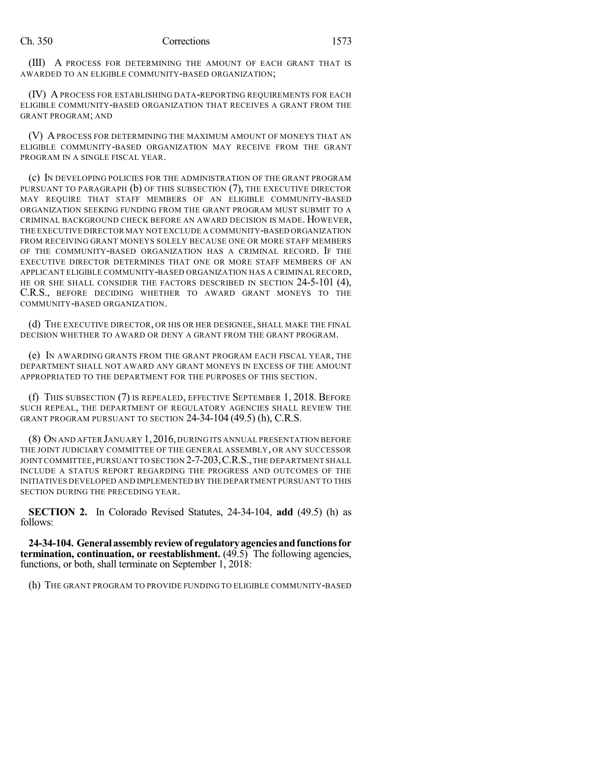(III) A PROCESS FOR DETERMINING THE AMOUNT OF EACH GRANT THAT IS AWARDED TO AN ELIGIBLE COMMUNITY-BASED ORGANIZATION;

(IV) A PROCESS FOR ESTABLISHING DATA-REPORTING REQUIREMENTS FOR EACH ELIGIBLE COMMUNITY-BASED ORGANIZATION THAT RECEIVES A GRANT FROM THE GRANT PROGRAM; AND

(V) A PROCESS FOR DETERMINING THE MAXIMUM AMOUNT OF MONEYS THAT AN ELIGIBLE COMMUNITY-BASED ORGANIZATION MAY RECEIVE FROM THE GRANT PROGRAM IN A SINGLE FISCAL YEAR.

(c) IN DEVELOPING POLICIES FOR THE ADMINISTRATION OF THE GRANT PROGRAM PURSUANT TO PARAGRAPH (b) OF THIS SUBSECTION (7), THE EXECUTIVE DIRECTOR MAY REQUIRE THAT STAFF MEMBERS OF AN ELIGIBLE COMMUNITY-BASED ORGANIZATION SEEKING FUNDING FROM THE GRANT PROGRAM MUST SUBMIT TO A CRIMINAL BACKGROUND CHECK BEFORE AN AWARD DECISION IS MADE. HOWEVER, THE EXECUTIVE DIRECTOR MAY NOT EXCLUDE A COMMUNITY-BASED ORGANIZATION FROM RECEIVING GRANT MONEYS SOLELY BECAUSE ONE OR MORE STAFF MEMBERS OF THE COMMUNITY-BASED ORGANIZATION HAS A CRIMINAL RECORD. IF THE EXECUTIVE DIRECTOR DETERMINES THAT ONE OR MORE STAFF MEMBERS OF AN APPLICANT ELIGIBLE COMMUNITY-BASED ORGANIZATION HAS A CRIMINAL RECORD, HE OR SHE SHALL CONSIDER THE FACTORS DESCRIBED IN SECTION 24-5-101 (4), C.R.S., BEFORE DECIDING WHETHER TO AWARD GRANT MONEYS TO THE COMMUNITY-BASED ORGANIZATION.

(d) THE EXECUTIVE DIRECTOR, OR HIS OR HER DESIGNEE, SHALL MAKE THE FINAL DECISION WHETHER TO AWARD OR DENY A GRANT FROM THE GRANT PROGRAM.

(e) IN AWARDING GRANTS FROM THE GRANT PROGRAM EACH FISCAL YEAR, THE DEPARTMENT SHALL NOT AWARD ANY GRANT MONEYS IN EXCESS OF THE AMOUNT APPROPRIATED TO THE DEPARTMENT FOR THE PURPOSES OF THIS SECTION.

(f) THIS SUBSECTION (7) IS REPEALED, EFFECTIVE SEPTEMBER 1, 2018. BEFORE SUCH REPEAL, THE DEPARTMENT OF REGULATORY AGENCIES SHALL REVIEW THE GRANT PROGRAM PURSUANT TO SECTION 24-34-104 (49.5) (h), C.R.S.

(8) ON AND AFTER JANUARY 1,2016, DURING ITS ANNUAL PRESENTATION BEFORE THE JOINT JUDICIARY COMMITTEE OF THE GENERAL ASSEMBLY, OR ANY SUCCESSOR JOINT COMMITTEE, PURSUANT TO SECTION 2-7-203, C.R.S., THE DEPARTMENT SHALL INCLUDE A STATUS REPORT REGARDING THE PROGRESS AND OUTCOMES OF THE INITIATIVES DEVELOPED AND IMPLEMENTED BY THE DEPARTMENT PURSUANT TO THIS SECTION DURING THE PRECEDING YEAR.

**SECTION 2.** In Colorado Revised Statutes, 24-34-104, **add** (49.5) (h) as follows:

**24-34-104. Generalassemblyreviewof regulatoryagenciesandfunctionsfor termination, continuation, or reestablishment.** (49.5) The following agencies, functions, or both, shall terminate on September 1, 2018:

(h) THE GRANT PROGRAM TO PROVIDE FUNDING TO ELIGIBLE COMMUNITY-BASED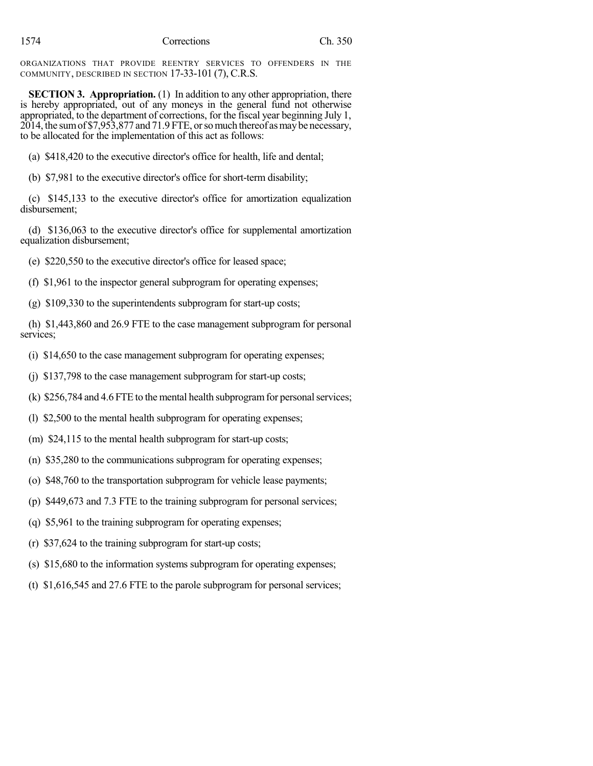ORGANIZATIONS THAT PROVIDE REENTRY SERVICES TO OFFENDERS IN THE COMMUNITY, DESCRIBED IN SECTION 17-33-101 (7), C.R.S.

**SECTION 3. Appropriation.** (1) In addition to any other appropriation, there is hereby appropriated, out of any moneys in the general fund not otherwise appropriated, to the department of corrections, for the fiscal year beginning July 1, 2014, the sumof \$7,953,877 and 71.9 FTE, orsomuch thereof asmaybe necessary, to be allocated for the implementation of this act as follows:

(a) \$418,420 to the executive director's office for health, life and dental;

(b) \$7,981 to the executive director's office for short-term disability;

(c) \$145,133 to the executive director's office for amortization equalization disbursement;

(d) \$136,063 to the executive director's office for supplemental amortization equalization disbursement;

(e) \$220,550 to the executive director's office for leased space;

(f) \$1,961 to the inspector general subprogram for operating expenses;

(g) \$109,330 to the superintendents subprogram for start-up costs;

(h) \$1,443,860 and 26.9 FTE to the case management subprogram for personal services;

(i) \$14,650 to the case management subprogram for operating expenses;

(j) \$137,798 to the case management subprogram for start-up costs;

(k)  $$256,784$  and  $4.6$  FTE to the mental health subprogram for personal services;

(l) \$2,500 to the mental health subprogram for operating expenses;

- (m) \$24,115 to the mental health subprogram for start-up costs;
- (n) \$35,280 to the communications subprogram for operating expenses;
- (o) \$48,760 to the transportation subprogram for vehicle lease payments;
- (p) \$449,673 and 7.3 FTE to the training subprogram for personal services;
- (q) \$5,961 to the training subprogram for operating expenses;
- (r) \$37,624 to the training subprogram for start-up costs;
- (s) \$15,680 to the information systems subprogram for operating expenses;
- (t) \$1,616,545 and 27.6 FTE to the parole subprogram for personal services;